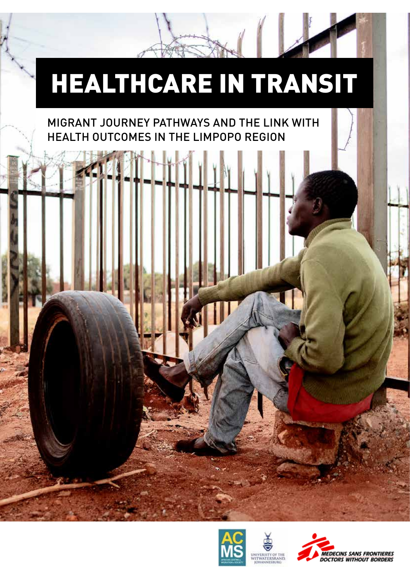# HEALTHCARE IN TRANSIT

#### MIGRANT JOURNEY PATHWAYS AND THE LINK WITH HEALTH OUTCOMES IN THE LIMPOPO REGION



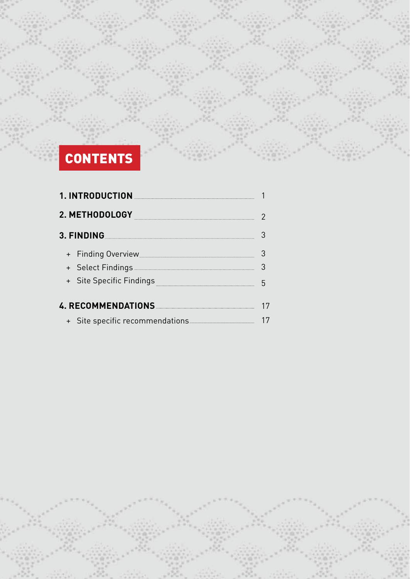## **CONTENTS**

| 1. INTRODUCTION                 |   |  |  |  |
|---------------------------------|---|--|--|--|
| 2. METHODOLOGY                  |   |  |  |  |
| 3. FINDING                      |   |  |  |  |
| + Finding Overview              |   |  |  |  |
|                                 | 3 |  |  |  |
| + Site Specific Findings        |   |  |  |  |
| 4. RECOMMENDATIONS              |   |  |  |  |
| + Site specific recommendations |   |  |  |  |

**1**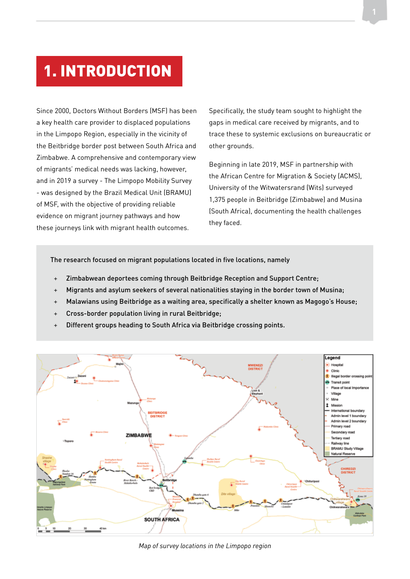### 1. INTRODUCTION

Since 2000, Doctors Without Borders (MSF) has been a key health care provider to displaced populations in the Limpopo Region, especially in the vicinity of the Beitbridge border post between South Africa and Zimbabwe. A comprehensive and contemporary view of migrants' medical needs was lacking, however, and in 2019 a survey - The Limpopo Mobility Survey - was designed by the Brazil Medical Unit (BRAMU) of MSF, with the objective of providing reliable evidence on migrant journey pathways and how these journeys link with migrant health outcomes.

Specifically, the study team sought to highlight the gaps in medical care received by migrants, and to trace these to systemic exclusions on bureaucratic or other grounds.

Beginning in late 2019, MSF in partnership with the African Centre for Migration & Society (ACMS), University of the Witwatersrand (Wits) surveyed 1,375 people in Beitbridge (Zimbabwe) and Musina (South Africa), documenting the health challenges they faced.

The research focused on migrant populations located in five locations, namely

- + Zimbabwean deportees coming through Beitbridge Reception and Support Centre;
- + Migrants and asylum seekers of several nationalities staying in the border town of Musina;
- + Malawians using Beitbridge as a waiting area, specifically a shelter known as Magogo's House;
- + Cross-border population living in rural Beitbridge;
- Different groups heading to South Africa via Beitbridge crossing points.



*Map of survey locations in the Limpopo region*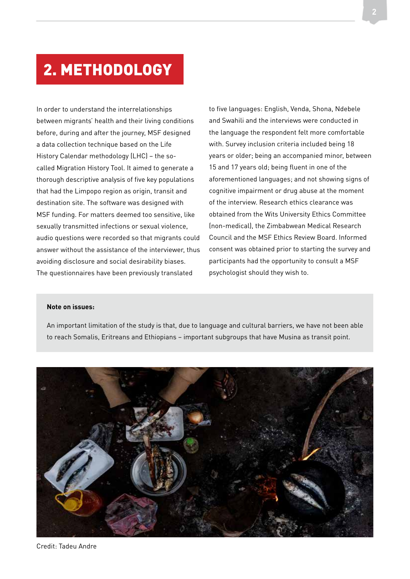#### 2. METHODOLOGY

In order to understand the interrelationships between migrants' health and their living conditions before, during and after the journey, MSF designed a data collection technique based on the Life History Calendar methodology (LHC) – the socalled Migration History Tool. It aimed to generate a thorough descriptive analysis of five key populations that had the Limpopo region as origin, transit and destination site. The software was designed with MSF funding. For matters deemed too sensitive, like sexually transmitted infections or sexual violence, audio questions were recorded so that migrants could answer without the assistance of the interviewer, thus avoiding disclosure and social desirability biases. The questionnaires have been previously translated

to five languages: English, Venda, Shona, Ndebele and Swahili and the interviews were conducted in the language the respondent felt more comfortable with. Survey inclusion criteria included being 18 years or older; being an accompanied minor, between 15 and 17 years old; being fluent in one of the aforementioned languages; and not showing signs of cognitive impairment or drug abuse at the moment of the interview. Research ethics clearance was obtained from the Wits University Ethics Committee (non-medical), the Zimbabwean Medical Research Council and the MSF Ethics Review Board. Informed consent was obtained prior to starting the survey and participants had the opportunity to consult a MSF psychologist should they wish to.

#### **Note on issues:**

An important limitation of the study is that, due to language and cultural barriers, we have not been able to reach Somalis, Eritreans and Ethiopians – important subgroups that have Musina as transit point.

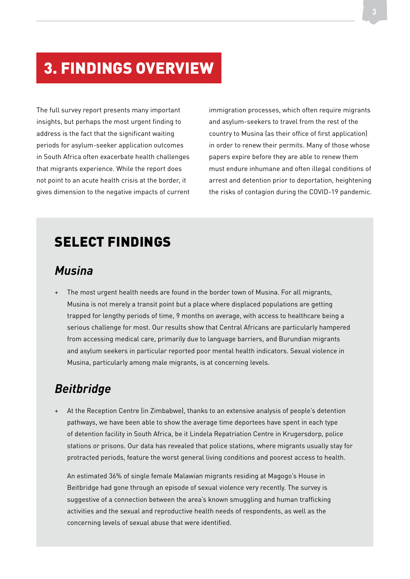### 3. FINDINGS OVERVIEW

The full survey report presents many important insights, but perhaps the most urgent finding to address is the fact that the significant waiting periods for asylum-seeker application outcomes in South Africa often exacerbate health challenges that migrants experience. While the report does not point to an acute health crisis at the border, it gives dimension to the negative impacts of current immigration processes, which often require migrants and asylum-seekers to travel from the rest of the country to Musina (as their office of first application) in order to renew their permits. Many of those whose papers expire before they are able to renew them must endure inhumane and often illegal conditions of arrest and detention prior to deportation, heightening the risks of contagion during the COVID-19 pandemic.

#### SELECT FINDINGS

#### *Musina*

The most urgent health needs are found in the border town of Musina. For all migrants, Musina is not merely a transit point but a place where displaced populations are getting trapped for lengthy periods of time, 9 months on average, with access to healthcare being a serious challenge for most. Our results show that Central Africans are particularly hampered from accessing medical care, primarily due to language barriers, and Burundian migrants and asylum seekers in particular reported poor mental health indicators. Sexual violence in Musina, particularly among male migrants, is at concerning levels.

#### *Beitbridge*

At the Reception Centre (in Zimbabwe), thanks to an extensive analysis of people's detention pathways, we have been able to show the average time deportees have spent in each type of detention facility in South Africa, be it Lindela Repatriation Centre in Krugersdorp, police stations or prisons. Our data has revealed that police stations, where migrants usually stay for protracted periods, feature the worst general living conditions and poorest access to health.

An estimated 36% of single female Malawian migrants residing at Magogo's House in Beitbridge had gone through an episode of sexual violence very recently. The survey is suggestive of a connection between the area's known smuggling and human trafficking activities and the sexual and reproductive health needs of respondents, as well as the concerning levels of sexual abuse that were identified.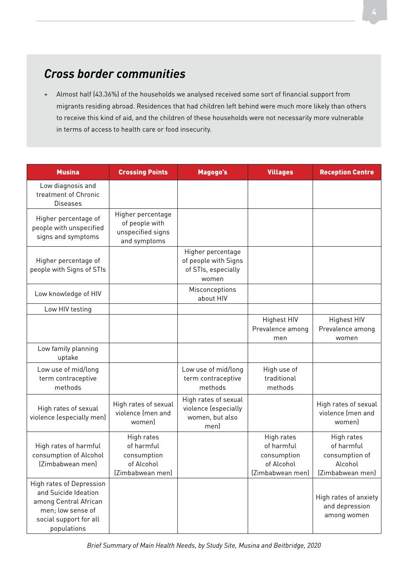#### *Cross border communities*

+ Almost half (43.36%) of the households we analysed received some sort of financial support from migrants residing abroad. Residences that had children left behind were much more likely than others to receive this kind of aid, and the children of these households were not necessarily more vulnerable in terms of access to health care or food insecurity.

| <b>Musina</b>                                                                                                                           | <b>Crossing Points</b>                                                    | Magogo's                                                                  | <b>Villages</b>                                                           | <b>Reception Centre</b>                                                   |
|-----------------------------------------------------------------------------------------------------------------------------------------|---------------------------------------------------------------------------|---------------------------------------------------------------------------|---------------------------------------------------------------------------|---------------------------------------------------------------------------|
| Low diagnosis and<br>treatment of Chronic<br><b>Diseases</b>                                                                            |                                                                           |                                                                           |                                                                           |                                                                           |
| Higher percentage of<br>people with unspecified<br>signs and symptoms                                                                   | Higher percentage<br>of people with<br>unspecified signs<br>and symptoms  |                                                                           |                                                                           |                                                                           |
| Higher percentage of<br>people with Signs of STIs                                                                                       |                                                                           | Higher percentage<br>of people with Signs<br>of STIs, especially<br>women |                                                                           |                                                                           |
| Low knowledge of HIV                                                                                                                    |                                                                           | Misconceptions<br>about HIV                                               |                                                                           |                                                                           |
| Low HIV testing                                                                                                                         |                                                                           |                                                                           |                                                                           |                                                                           |
|                                                                                                                                         |                                                                           |                                                                           | <b>Highest HIV</b><br>Prevalence among<br>men                             | <b>Highest HIV</b><br>Prevalence among<br>women                           |
| Low family planning<br>uptake                                                                                                           |                                                                           |                                                                           |                                                                           |                                                                           |
| Low use of mid/long<br>term contraceptive<br>methods                                                                                    |                                                                           | Low use of mid/long<br>term contraceptive<br>methods                      | High use of<br>traditional<br>methods                                     |                                                                           |
| High rates of sexual<br>violence (especially men)                                                                                       | High rates of sexual<br>violence (men and<br>womenl                       | High rates of sexual<br>violence (especially<br>women, but also<br>men)   |                                                                           | High rates of sexual<br>violence (men and<br>womenl                       |
| High rates of harmful<br>consumption of Alcohol<br>(Zimbabwean men)                                                                     | High rates<br>of harmful<br>consumption<br>of Alcohol<br>(Zimbabwean men) |                                                                           | High rates<br>of harmful<br>consumption<br>of Alcohol<br>(Zimbabwean men) | High rates<br>of harmful<br>consumption of<br>Alcohol<br>(Zimbabwean men) |
| High rates of Depression<br>and Suicide Ideation<br>among Central African<br>men; low sense of<br>social support for all<br>populations |                                                                           |                                                                           |                                                                           | High rates of anxiety<br>and depression<br>among women                    |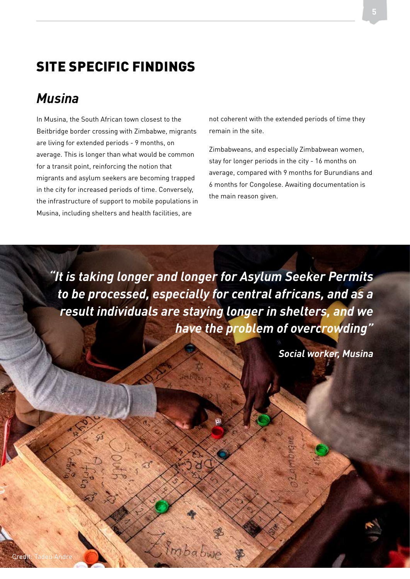#### SITE SPECIFIC FINDINGS

#### *Musina*

In Musina, the South African town closest to the Beitbridge border crossing with Zimbabwe, migrants are living for extended periods - 9 months, on average. This is longer than what would be common for a transit point, reinforcing the notion that migrants and asylum seekers are becoming trapped in the city for increased periods of time. Conversely, the infrastructure of support to mobile populations in Musina, including shelters and health facilities, are

not coherent with the extended periods of time they remain in the site.

Zimbabweans, and especially Zimbabwean women, stay for longer periods in the city - 16 months on average, compared with 9 months for Burundians and 6 months for Congolese. Awaiting documentation is the main reason given.

*"It is taking longer and longer for Asylum Seeker Permits to be processed, especially for central africans, and as a result individuals are staying longer in shelters, and we have the problem of overcrowding"*

*Social worker, Musina*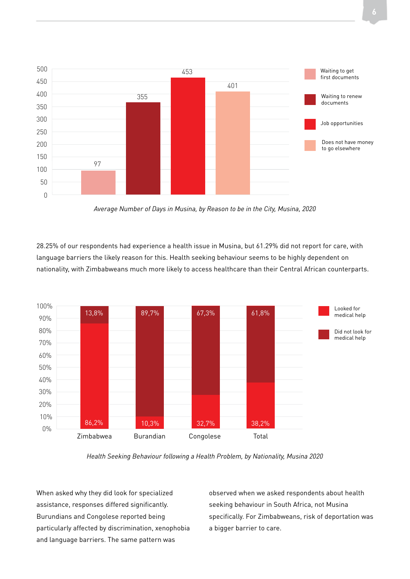



*Average Number of Days in Musina, by Reason to be in the City, Musina, 2020*

28.25% of our respondents had experience a health issue in Musina, but 61.29% did not report for care, with language barriers the likely reason for this. Health seeking behaviour seems to be highly dependent on nationality, with Zimbabweans much more likely to access healthcare than their Central African counterparts.



*Health Seeking Behaviour following a Health Problem, by Nationality, Musina 2020*

When asked why they did look for specialized assistance, responses differed significantly. Burundians and Congolese reported being particularly affected by discrimination, xenophobia and language barriers. The same pattern was

observed when we asked respondents about health seeking behaviour in South Africa, not Musina specifically. For Zimbabweans, risk of deportation was a bigger barrier to care.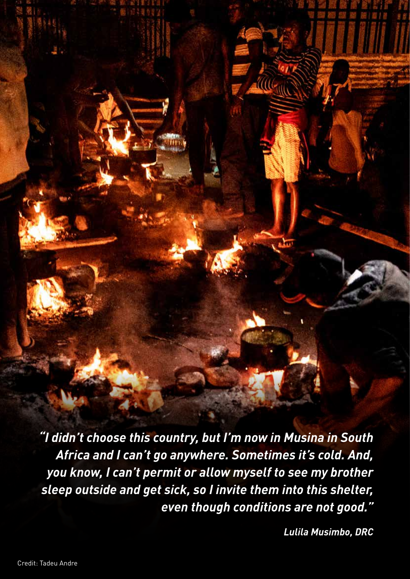*"I didn't choose this country, but I'm now in Musina in South Africa and I can't go anywhere. Sometimes it's cold. And, you know, I can't permit or allow myself to see my brother sleep outside and get sick, so I invite them into this shelter, even though conditions are not good."* 

*Lulila Musimbo, DRC*

**7**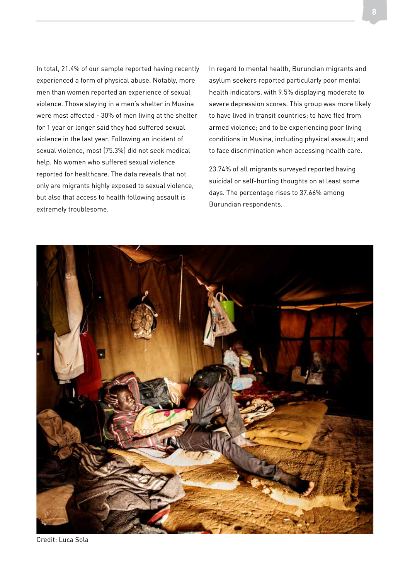In total, 21.4% of our sample reported having recently experienced a form of physical abuse. Notably, more men than women reported an experience of sexual violence. Those staying in a men's shelter in Musina were most affected - 30% of men living at the shelter for 1 year or longer said they had suffered sexual violence in the last year. Following an incident of sexual violence, most (75.3%) did not seek medical help. No women who suffered sexual violence reported for healthcare. The data reveals that not only are migrants highly exposed to sexual violence, but also that access to health following assault is extremely troublesome.

In regard to mental health, Burundian migrants and asylum seekers reported particularly poor mental health indicators, with 9.5% displaying moderate to severe depression scores. This group was more likely to have lived in transit countries; to have fled from armed violence; and to be experiencing poor living conditions in Musina, including physical assault; and to face discrimination when accessing health care.

23.74% of all migrants surveyed reported having suicidal or self-hurting thoughts on at least some days. The percentage rises to 37.66% among Burundian respondents.



Credit: Luca Sola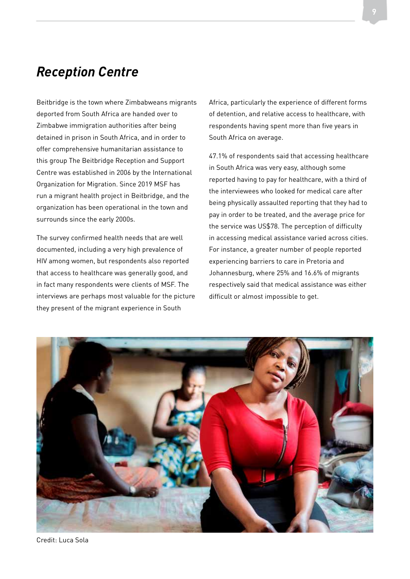#### *Reception Centre*

Beitbridge is the town where Zimbabweans migrants deported from South Africa are handed over to Zimbabwe immigration authorities after being detained in prison in South Africa, and in order to offer comprehensive humanitarian assistance to this group The Beitbridge Reception and Support Centre was established in 2006 by the International Organization for Migration. Since 2019 MSF has run a migrant health project in Beitbridge, and the organization has been operational in the town and surrounds since the early 2000s.

The survey confirmed health needs that are well documented, including a very high prevalence of HIV among women, but respondents also reported that access to healthcare was generally good, and in fact many respondents were clients of MSF. The interviews are perhaps most valuable for the picture they present of the migrant experience in South

Africa, particularly the experience of different forms of detention, and relative access to healthcare, with respondents having spent more than five years in South Africa on average.

47.1% of respondents said that accessing healthcare in South Africa was very easy, although some reported having to pay for healthcare, with a third of the interviewees who looked for medical care after being physically assaulted reporting that they had to pay in order to be treated, and the average price for the service was US\$78. The perception of difficulty in accessing medical assistance varied across cities. For instance, a greater number of people reported experiencing barriers to care in Pretoria and Johannesburg, where 25% and 16.6% of migrants respectively said that medical assistance was either difficult or almost impossible to get.



Credit: Luca Sola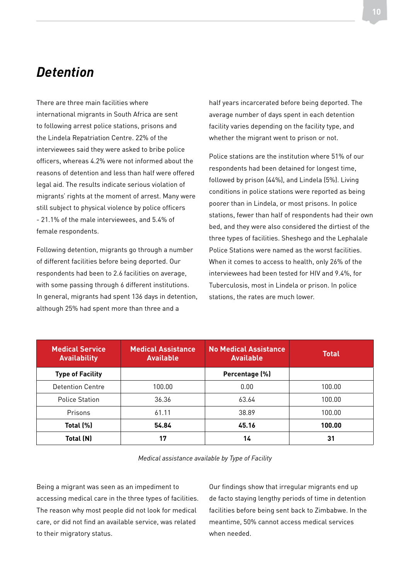#### *Detention*

There are three main facilities where international migrants in South Africa are sent to following arrest police stations, prisons and the Lindela Repatriation Centre. 22% of the interviewees said they were asked to bribe police officers, whereas 4.2% were not informed about the reasons of detention and less than half were offered legal aid. The results indicate serious violation of migrants' rights at the moment of arrest. Many were still subject to physical violence by police officers - 21.1% of the male interviewees, and 5.4% of female respondents.

Following detention, migrants go through a number of different facilities before being deported. Our respondents had been to 2.6 facilities on average, with some passing through 6 different institutions. In general, migrants had spent 136 days in detention, although 25% had spent more than three and a

half years incarcerated before being deported. The average number of days spent in each detention facility varies depending on the facility type, and whether the migrant went to prison or not.

Police stations are the institution where 51% of our respondents had been detained for longest time, followed by prison (44%), and Lindela (5%). Living conditions in police stations were reported as being poorer than in Lindela, or most prisons. In police stations, fewer than half of respondents had their own bed, and they were also considered the dirtiest of the three types of facilities. Sheshego and the Lephalale Police Stations were named as the worst facilities. When it comes to access to health, only 26% of the interviewees had been tested for HIV and 9.4%, for Tuberculosis, most in Lindela or prison. In police stations, the rates are much lower.

| <b>Medical Service</b><br><b>Availability</b> | <b>Medical Assistance</b><br><b>Available</b> | <b>No Medical Assistance</b><br><b>Available</b> | <b>Total</b> |
|-----------------------------------------------|-----------------------------------------------|--------------------------------------------------|--------------|
| <b>Type of Facility</b>                       |                                               | Percentage (%)                                   |              |
| Detention Centre                              | 100.00                                        | 0.00                                             | 100.00       |
| <b>Police Station</b>                         | 36.36                                         | 63.64                                            | 100.00       |
| Prisons                                       | 61.11                                         | 38.89                                            | 100.00       |
| Total (%)                                     | 54.84                                         | 45.16                                            | 100.00       |
| Total (N)                                     | 17                                            | 14                                               | 31           |

*Medical assistance available by Type of Facility*

Being a migrant was seen as an impediment to accessing medical care in the three types of facilities. The reason why most people did not look for medical care, or did not find an available service, was related to their migratory status.

Our findings show that irregular migrants end up de facto staying lengthy periods of time in detention facilities before being sent back to Zimbabwe. In the meantime, 50% cannot access medical services when needed.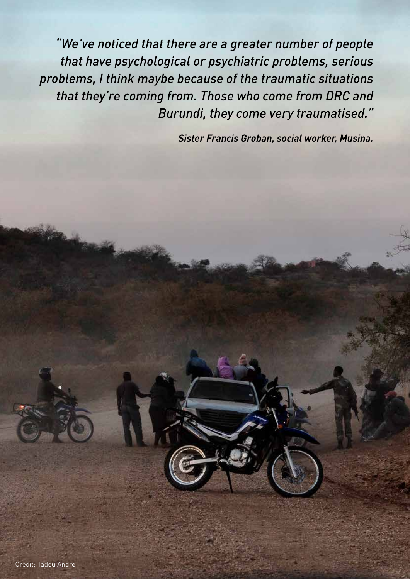*"We've noticed that there are a greater number of people that have psychological or psychiatric problems, serious problems, I think maybe because of the traumatic situations that they're coming from. Those who come from DRC and Burundi, they come very traumatised."* 

*Sister Francis Groban, social worker, Musina.*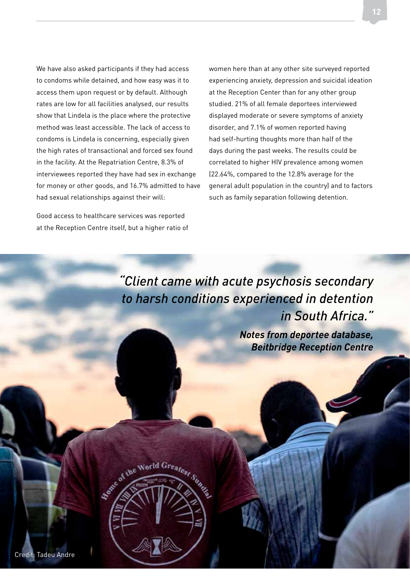We have also asked participants if they had access to condoms while detained, and how easy was it to access them upon request or by default. Although rates are low for all facilities analysed, our results show that Lindela is the place where the protective method was least accessible. The lack of access to condoms is Lindela is concerning, especially given the high rates of transactional and forced sex found in the facility. At the Repatriation Centre, 8.3% of interviewees reported they have had sex in exchange for money or other goods, and 16.7% admitted to have had sexual relationships against their will:

Good access to healthcare services was reported at the Reception Centre itself, but a higher ratio of

Estate of the World

women here than at any other site surveyed reported experiencing anxiety, depression and suicidal ideation at the Reception Center than for any other group studied. 21% of all female deportees interviewed displayed moderate or severe symptoms of anxiety disorder, and 7.1% of women reported having had self-hurting thoughts more than half of the days during the past weeks. The results could be correlated to higher HIV prevalence among women (22.64%, compared to the 12.8% average for the general adult population in the country) and to factors such as family separation following detention.

*Beitbridge Reception Centre*

*"Client came with acute psychosis secondary to harsh conditions experienced in detention in South Africa." Notes from deportee database,*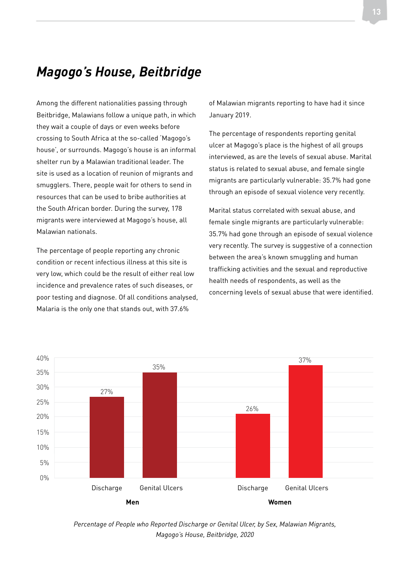#### *Magogo's House, Beitbridge*

Among the different nationalities passing through Beitbridge, Malawians follow a unique path, in which they wait a couple of days or even weeks before crossing to South Africa at the so-called 'Magogo's house', or surrounds. Magogo's house is an informal shelter run by a Malawian traditional leader. The site is used as a location of reunion of migrants and smugglers. There, people wait for others to send in resources that can be used to bribe authorities at the South African border. During the survey, 178 migrants were interviewed at Magogo's house, all Malawian nationals.

The percentage of people reporting any chronic condition or recent infectious illness at this site is very low, which could be the result of either real low incidence and prevalence rates of such diseases, or poor testing and diagnose. Of all conditions analysed, Malaria is the only one that stands out, with 37.6%

of Malawian migrants reporting to have had it since January 2019.

The percentage of respondents reporting genital ulcer at Magogo's place is the highest of all groups interviewed, as are the levels of sexual abuse. Marital status is related to sexual abuse, and female single migrants are particularly vulnerable: 35.7% had gone through an episode of sexual violence very recently.

Marital status correlated with sexual abuse, and female single migrants are particularly vulnerable: 35.7% had gone through an episode of sexual violence very recently. The survey is suggestive of a connection between the area's known smuggling and human trafficking activities and the sexual and reproductive health needs of respondents, as well as the concerning levels of sexual abuse that were identified.



*Percentage of People who Reported Discharge or Genital Ulcer, by Sex, Malawian Migrants, Magogo's House, Beitbridge, 2020*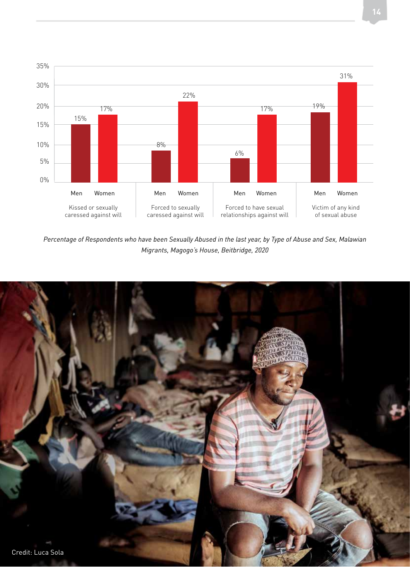

*Percentage of Respondents who have been Sexually Abused in the last year, by Type of Abuse and Sex, Malawian Migrants, Magogo's House, Beitbridge, 2020*

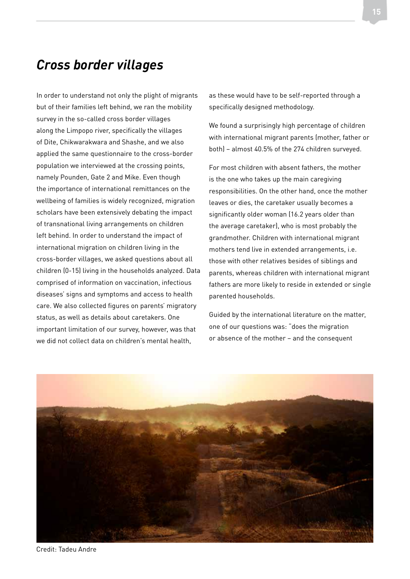#### *Cross border villages*

In order to understand not only the plight of migrants but of their families left behind, we ran the mobility survey in the so-called cross border villages along the Limpopo river, specifically the villages of Dite, Chikwarakwara and Shashe, and we also applied the same questionnaire to the cross-border population we interviewed at the crossing points, namely Pounden, Gate 2 and Mike. Even though the importance of international remittances on the wellbeing of families is widely recognized, migration scholars have been extensively debating the impact of transnational living arrangements on children left behind. In order to understand the impact of international migration on children living in the cross-border villages, we asked questions about all children (0-15) living in the households analyzed. Data comprised of information on vaccination, infectious diseases' signs and symptoms and access to health care. We also collected figures on parents' migratory status, as well as details about caretakers. One important limitation of our survey, however, was that we did not collect data on children's mental health,

as these would have to be self-reported through a specifically designed methodology.

We found a surprisingly high percentage of children with international migrant parents (mother, father or both) – almost 40.5% of the 274 children surveyed.

For most children with absent fathers, the mother is the one who takes up the main caregiving responsibilities. On the other hand, once the mother leaves or dies, the caretaker usually becomes a significantly older woman (16.2 years older than the average caretaker), who is most probably the grandmother. Children with international migrant mothers tend live in extended arrangements, i.e. those with other relatives besides of siblings and parents, whereas children with international migrant fathers are more likely to reside in extended or single parented households.

Guided by the international literature on the matter, one of our questions was: "does the migration or absence of the mother – and the consequent



Credit: Tadeu Andre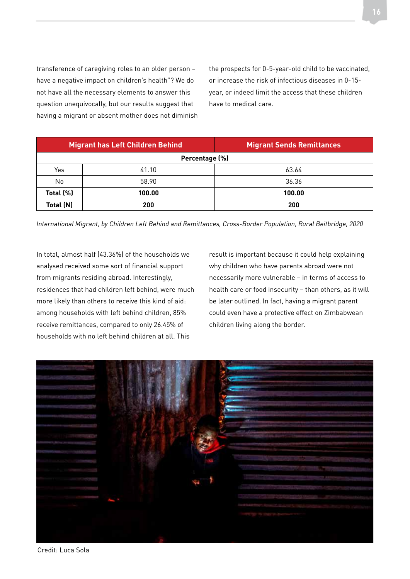transference of caregiving roles to an older person – have a negative impact on children's health"? We do not have all the necessary elements to answer this question unequivocally, but our results suggest that having a migrant or absent mother does not diminish

the prospects for 0-5-year-old child to be vaccinated, or increase the risk of infectious diseases in 0-15 year, or indeed limit the access that these children have to medical care.

| <b>Migrant has Left Children Behind</b> |        | <b>Migrant Sends Remittances</b> |  |  |
|-----------------------------------------|--------|----------------------------------|--|--|
| Percentage (%)                          |        |                                  |  |  |
| Yes                                     | 41.10  | 63.64                            |  |  |
| No                                      | 58.90  | 36.36                            |  |  |
| Total (%)                               | 100.00 | 100.00                           |  |  |
| Total (N)                               | 200    | 200                              |  |  |

*International Migrant, by Children Left Behind and Remittances, Cross-Border Population, Rural Beitbridge, 2020*

In total, almost half (43.36%) of the households we analysed received some sort of financial support from migrants residing abroad. Interestingly, residences that had children left behind, were much more likely than others to receive this kind of aid: among households with left behind children, 85% receive remittances, compared to only 26.45% of households with no left behind children at all. This

result is important because it could help explaining why children who have parents abroad were not necessarily more vulnerable – in terms of access to health care or food insecurity – than others, as it will be later outlined. In fact, having a migrant parent could even have a protective effect on Zimbabwean children living along the border.



Credit: Luca Sola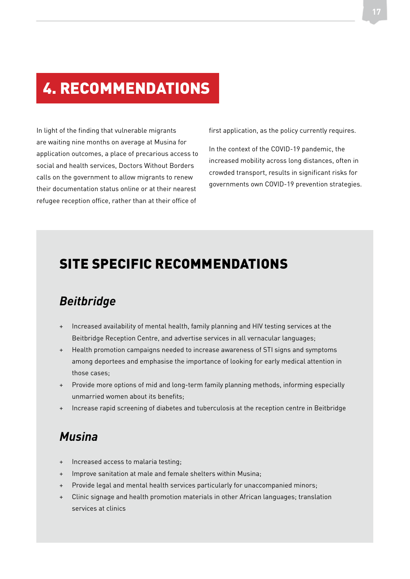#### 4. RECOMMENDATIONS

In light of the finding that vulnerable migrants are waiting nine months on average at Musina for application outcomes, a place of precarious access to social and health services, Doctors Without Borders calls on the government to allow migrants to renew their documentation status online or at their nearest refugee reception office, rather than at their office of

first application, as the policy currently requires.

In the context of the COVID-19 pandemic, the increased mobility across long distances, often in crowded transport, results in significant risks for governments own COVID-19 prevention strategies.

#### SITE SPECIFIC RECOMMENDATIONS

#### *Beitbridge*

- + Increased availability of mental health, family planning and HIV testing services at the Beitbridge Reception Centre, and advertise services in all vernacular languages;
- + Health promotion campaigns needed to increase awareness of STI signs and symptoms among deportees and emphasise the importance of looking for early medical attention in those cases;
- + Provide more options of mid and long-term family planning methods, informing especially unmarried women about its benefits;
- + Increase rapid screening of diabetes and tuberculosis at the reception centre in Beitbridge

#### *Musina*

- Increased access to malaria testing;
- + Improve sanitation at male and female shelters within Musina;
- + Provide legal and mental health services particularly for unaccompanied minors;
- + Clinic signage and health promotion materials in other African languages; translation services at clinics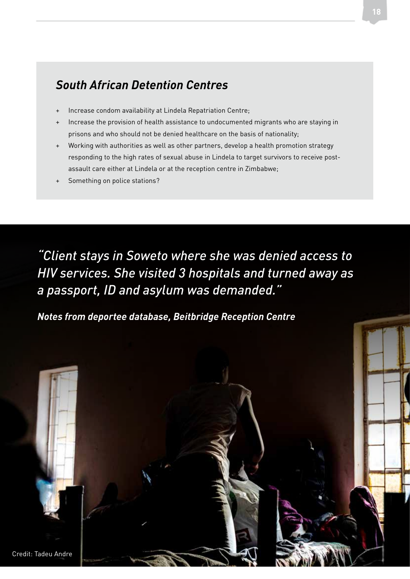#### *South African Detention Centres*

- Increase condom availability at Lindela Repatriation Centre;
- Increase the provision of health assistance to undocumented migrants who are staying in prisons and who should not be denied healthcare on the basis of nationality;
- + Working with authorities as well as other partners, develop a health promotion strategy responding to the high rates of sexual abuse in Lindela to target survivors to receive postassault care either at Lindela or at the reception centre in Zimbabwe;
- Something on police stations?

*"Client stays in Soweto where she was denied access to HIV services. She visited 3 hospitals and turned away as a passport, ID and asylum was demanded."* 

*Notes from deportee database, Beitbridge Reception Centre*